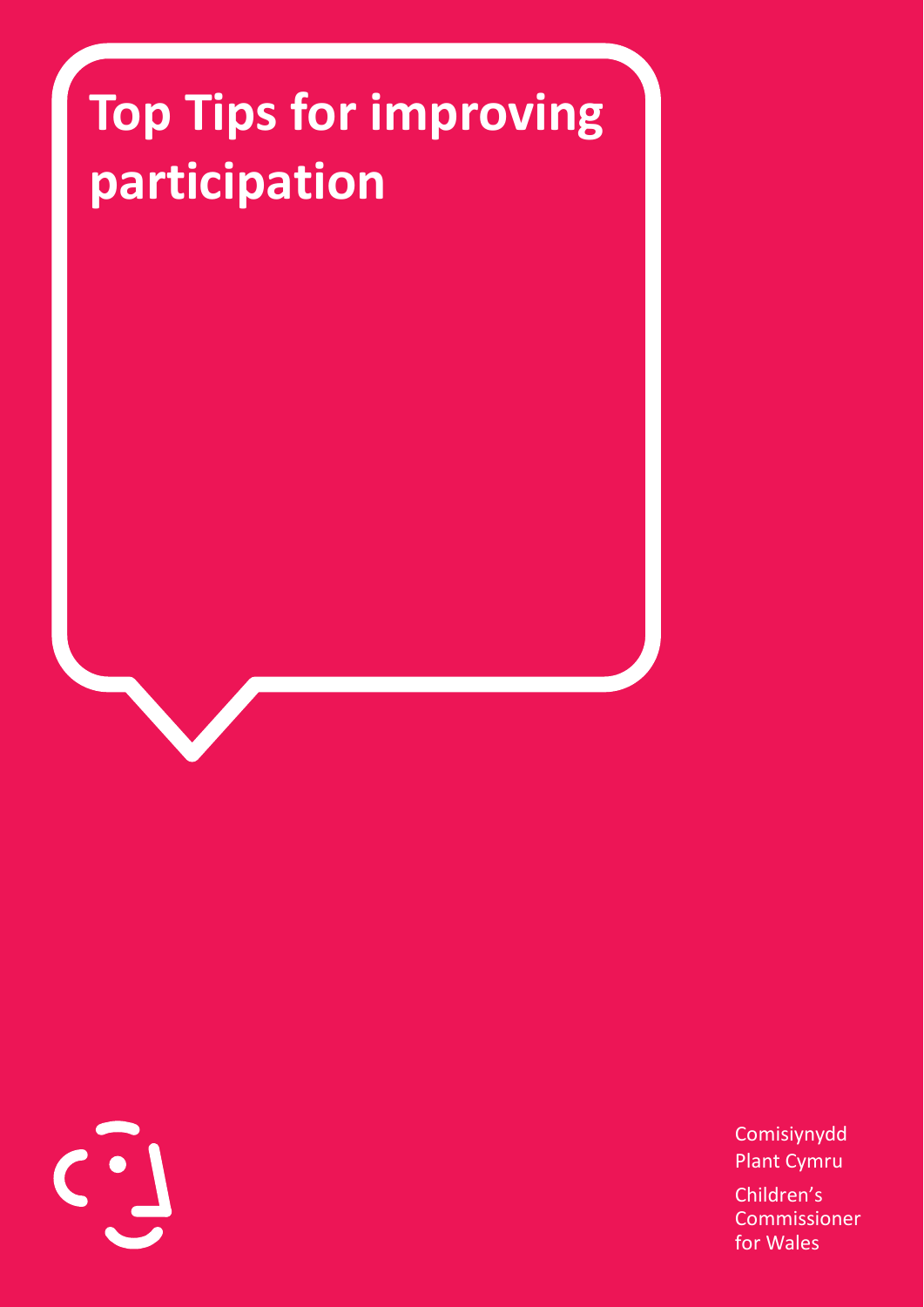## **Top Tips for improving participation**

Comisiynydd Plant Cymru Children's Commissioner for Wales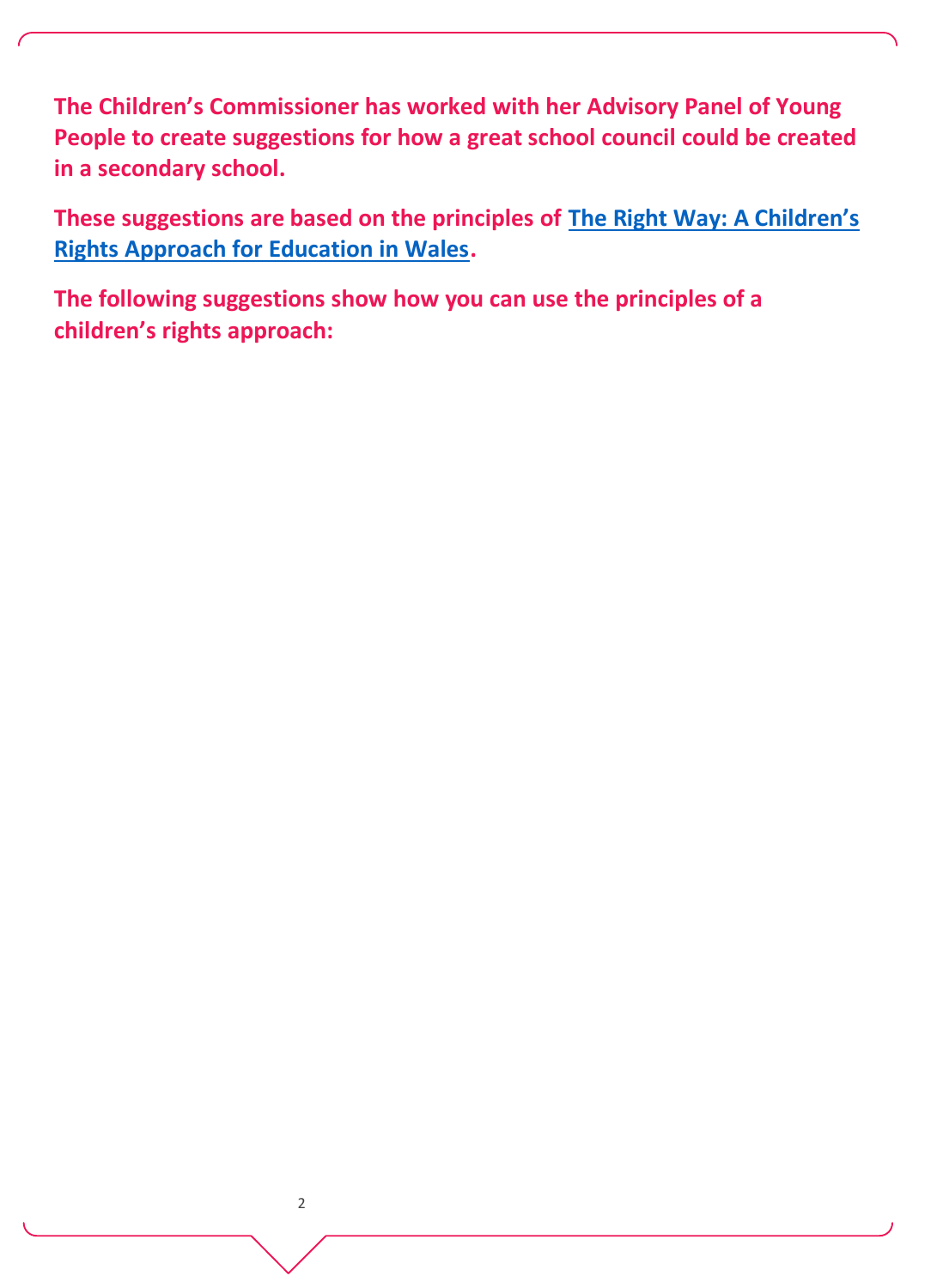**The Children's Commissioner has worked with her Advisory Panel of Young People to create suggestions for how a great school council could be created in a secondary school.** 

**These suggestions are based on the principles of [The Right Way: A Children's](https://www.childcomwales.org.uk/wp-content/uploads/2017/05/The-Right-Way-Education.pdf)  [Rights Approach for Education in Wales.](https://www.childcomwales.org.uk/wp-content/uploads/2017/05/The-Right-Way-Education.pdf)** 

**The following suggestions show how you can use the principles of a children's rights approach:**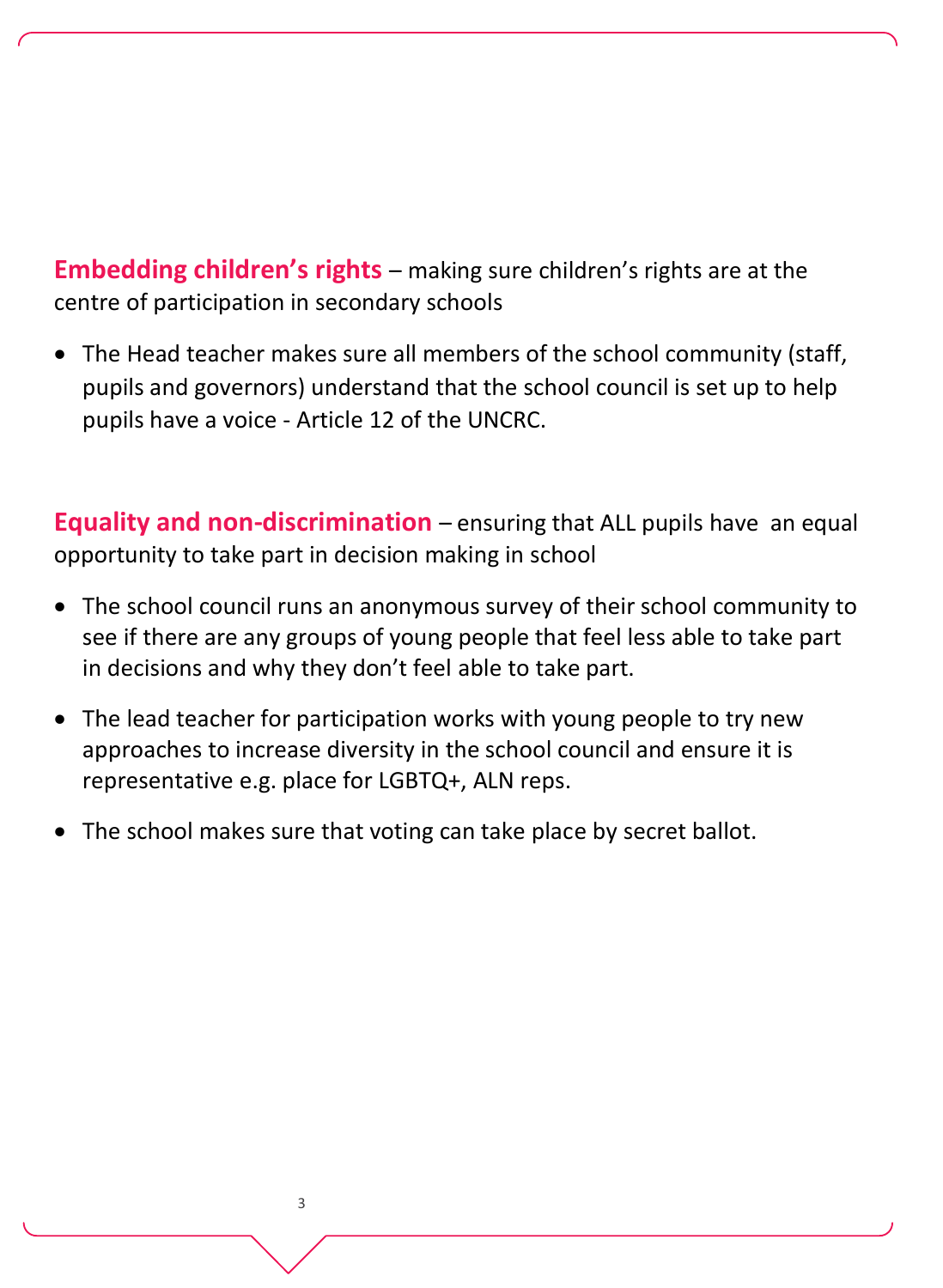**Embedding children's rights** – making sure children's rights are at the centre of participation in secondary schools

• The Head teacher makes sure all members of the school community (staff, pupils and governors) understand that the school council is set up to help pupils have a voice - Article 12 of the UNCRC.

**Equality and non-discrimination** – ensuring that ALL pupils have an equal opportunity to take part in decision making in school

- The school council runs an anonymous survey of their school community to see if there are any groups of young people that feel less able to take part in decisions and why they don't feel able to take part.
- The lead teacher for participation works with young people to try new approaches to increase diversity in the school council and ensure it is representative e.g. place for LGBTQ+, ALN reps.
- The school makes sure that voting can take place by secret ballot.

3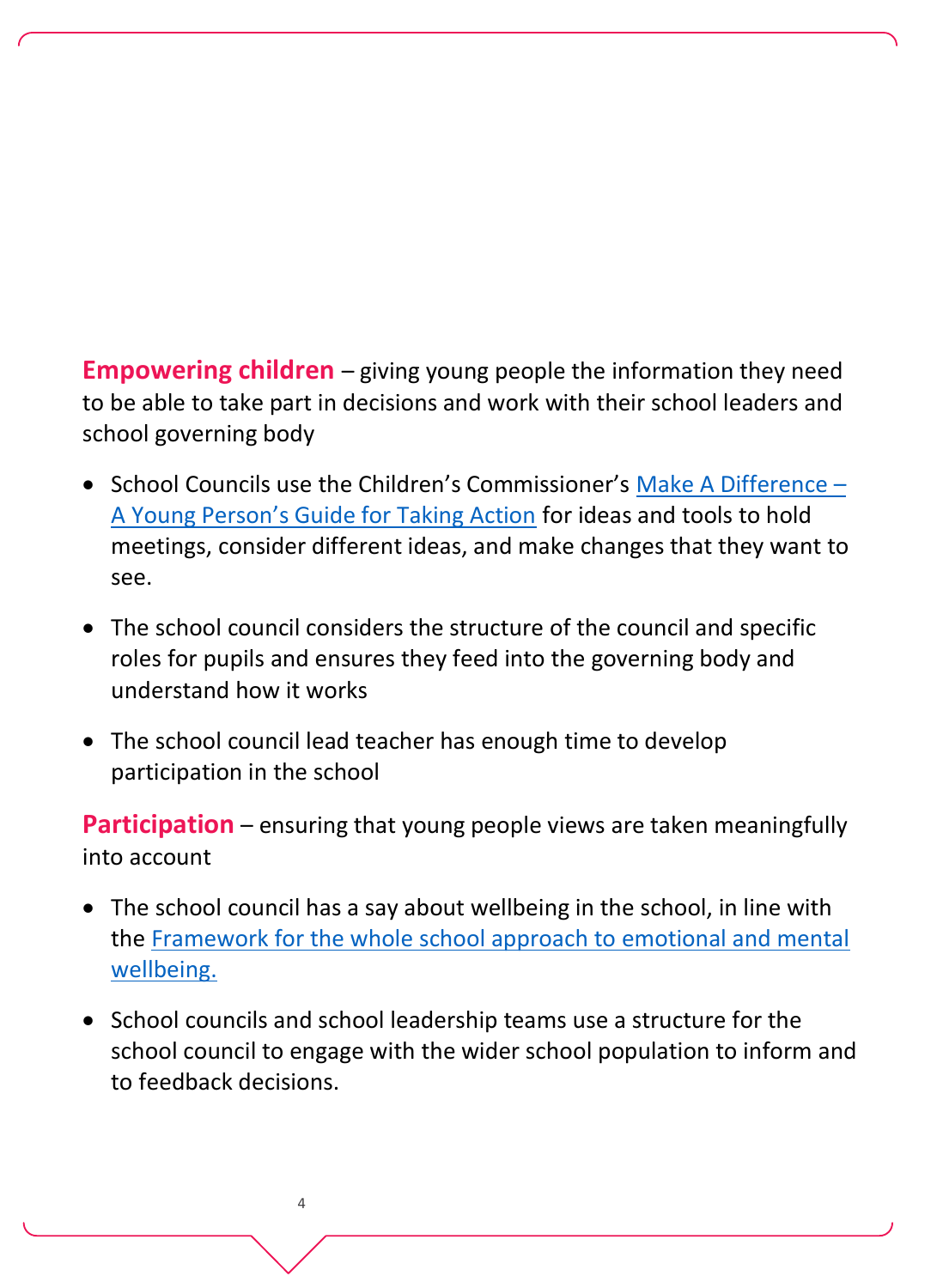**Empowering children** – giving young people the information they need to be able to take part in decisions and work with their school leaders and school governing body

- School Councils use the Children's Commissioner's [Make A Difference](https://www.childcomwales.org.uk/make-a-difference/)  [A Young Person's Guide for Taking Action](https://www.childcomwales.org.uk/make-a-difference/) for ideas and tools to hold meetings, consider different ideas, and make changes that they want to see.
- The school council considers the structure of the council and specific roles for pupils and ensures they feed into the governing body and understand how it works
- The school council lead teacher has enough time to develop participation in the school

**Participation** – ensuring that young people views are taken meaningfully into account

- The school council has a say about wellbeing in the school, in line with the [Framework for the whole school approach to emotional and mental](https://gov.wales/framework-embedding-whole-school-approach-emotional-and-mental-well-being)  [wellbeing.](https://gov.wales/framework-embedding-whole-school-approach-emotional-and-mental-well-being)
- School councils and school leadership teams use a structure for the school council to engage with the wider school population to inform and to feedback decisions.

4